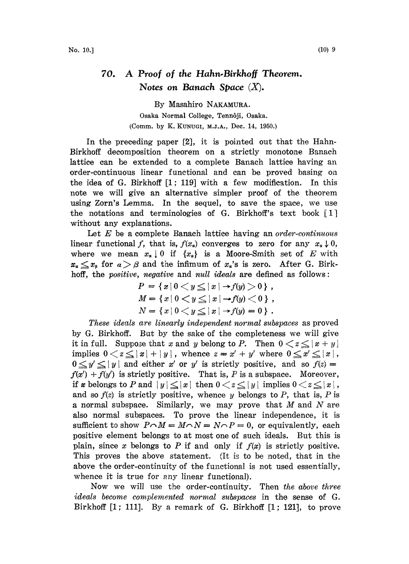## 70. A Proof of the Hahn-Birkhoff Theorem. Notes on Banach Space  $(X)$ .

By Masahiro NAKAMURA. Osaka Normal College, Tenn6ji, Osaka. (Comm. by K. KUNUGI, M.J.A., Dec. 14, 1950.)

In the preceding paper [2], it is pointed out that the Hahn-Birkhoff decomposition theorem on a strictly monotone Banaeh lattice can be extended to a complete Banach lattice having an order-continuous linear functional and can be proved basing on the idea of G. Birkhoff [1; 119] with a few modification. In this note we will give an alternative simpler proof of the theorem using Zorn's Lemma. In the sequel, to save the space, we use the notations and terminologies of G. Birkhoff's text book [1] without any explanations.

Let  $E$  be a complete Banach lattice having an order-continuous linear functional f, that is,  $f(x_0)$  converges to zero for any  $x_0 \downarrow 0$ , where we mean  $x_{\alpha} \downarrow 0$  if  $\{x_{\alpha}\}\)$  is a Moore-Smith set of E with  $x_{\alpha} \leq x_{\beta}$  for  $\alpha > \beta$  and the infimum of  $x_{\alpha}$ 's is zero. After G. Birkhoff, the positive, negative and null ideals are defined as follows:

$$
P = \{x | 0 < y \le |x| \to f(y) > 0\},\,
$$
  
\n
$$
M = \{x | 0 < y \le |x| \to f(y) < 0\},\,
$$
  
\n
$$
N = \{x | 0 < y \le |x| \to f(y) = 0\}.
$$

 $N = \{x \mid 0 \lt y \leq |x| \rightarrow f(y) = 0 \}$ .<br>These ideals are linearly independent normal subspaces as proved by G. Birkhoff. But by the sake of the completeness we will give it in full. Suppose that x and y belong to P. Then  $0 < z \le |x + y|$ implies  $0 < z \le |x| + |y|$ , whence  $z = x' + y'$  where  $0 \le$ <br> $0 < y' < |y|$  and either x' or y' is strictly positive, and  $0 \leq y' \leq |y|$  and either x' or y' is strictly positive, and so  $f(z) =$  $f(x') + f(y')$  is strictly positive. That is, P is a subspace. Moreover, if x belongs to P and  $|y| \le |x|$  then  $0 < z \le |y|$  implies  $0 < z \le |x|$ , and so  $f(z)$  is strictly positive, whence y belongs to P, that is, P is a normal subspace. Similarly, we may prove that  $M$  and  $N$  are also normal subspaces. To prove the linear independence, it is sufficient to show  $P \cap M = M \cap N = N \cap P = 0$ , or equivalently, each sufficient to show  $P \cap M = M \cap N = N \cap P = 0$ , or equivalently, each positive element belongs to at most one of such ideals. But this is plain, since x belongs to P if and only if  $f(x)$  is strictly positive. This proves the above statement. (It is to be noted, that in the above the order-continuity of the functional is not used essentially, whence it is true for any linear functional).

Now we will use the order-continuity. Then the above three ideals become complemented normal subspaces in the sense of G. Birkhoff [1; 111]. By a remark of G. Birkhoff [1; 121], to prove